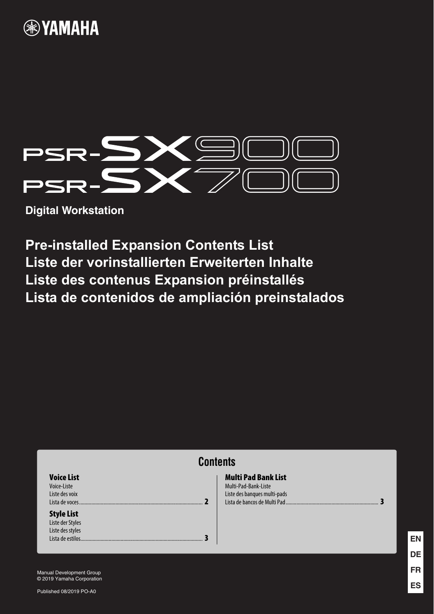# **®YAMAHA**



**Digital Workstation**

**Pre-installed Expansion Contents List Liste der vorinstallierten Erweiterten Inhalte Liste des contenus Expansion préinstallés Lista de contenidos de ampliación preinstalados**

| <b>Tontents</b>                                                                |                                                                                    |  |  |
|--------------------------------------------------------------------------------|------------------------------------------------------------------------------------|--|--|
| <b>Voice List</b><br>Voice-Liste<br>Liste des voix<br>Lista de voces.          | <b>Multi Pad Bank List</b><br>Multi-Pad-Bank-Liste<br>Liste des banques multi-pads |  |  |
| <b>Style List</b><br>Liste der Styles<br>Liste des styles<br>Lista de estilos. |                                                                                    |  |  |

Manual Development Group © 2019 Yamaha Corporation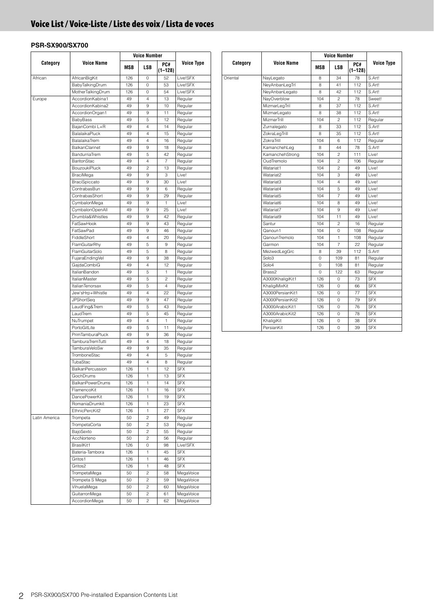### <span id="page-1-0"></span>**Voice List / Voice-Liste / Liste des voix / Lista de voces**

|               |                          |     | <b>Voice Number</b> |                |            |
|---------------|--------------------------|-----|---------------------|----------------|------------|
| Category      | Voice Name               | MSB | LSB                 | PC#<br>(1–128) | Voice Type |
| African       | AfricanBigKit            | 126 | $\mathbf 0$         | 52             | Live!SFX   |
|               | BabyTalkingDrum          | 126 | 0                   | 53             | Live!SFX   |
|               | MotherTalkingDrum        | 126 | 0                   | 54             | Live!SFX   |
| Europe        | AccordionKabina1         | 49  | 4                   | 13             | Regular    |
|               | AccordionKabina2         | 49  | 9                   | 10             | Regular    |
|               | AccordionOrgan1          | 49  | 9                   | 11             | Regular    |
|               | BabyBass                 | 49  | 5                   | 12             | Regular    |
|               | BajanCombi L+R           | 49  | 4                   | 14             | Regular    |
|               | BalalaikaPluck           | 49  | 4                   | 15             | Regular    |
|               | BalalaikaTrem            | 49  | 4                   | 16             | Regular    |
|               | BalkanClarinet           | 49  | 9                   | 18             | Regular    |
|               | BandurriaTrem            | 49  | 5                   | 42             | Regular    |
|               | BaritonStac              | 49  | 4                   | 7              | Regular    |
|               | <b>BouzoukiPluck</b>     | 49  | 2                   | 13             | Regular    |
|               | <b>BraciMega</b>         | 49  | 9                   | 3              | Live!      |
|               | <b>BraciSpiccato</b>     | 49  | 9                   | 30             | Live!      |
|               | ContrabasBun             | 49  | 9                   | 6              | Regular    |
|               | ContrabasShort           | 49  | 9                   | 29             | Regular    |
|               | CymbalonMega             | 49  | 9                   | 1              | Live!      |
|               | CymbalonOpenAll          | 49  | 9                   | 25             | Live!      |
|               | Drumbla&Whistles         | 49  | 9                   | 42             | Regular    |
|               | FatSawHook               | 49  | 9                   | 43             |            |
|               |                          |     |                     |                | Regular    |
|               | FatSawPad<br>FiddleShort | 49  | 9                   | 46             | Regular    |
|               |                          | 49  | 4                   | 20             | Regular    |
|               | FlamGuitarRhy            | 49  | 5                   | 9              | Regular    |
|               | FlamGuitarSolo           | 49  | 5                   | 8              | Regular    |
|               | FujaraEndingVel          | 49  | 9                   | 38             | Regular    |
|               | GajdaCombiG              | 49  | 4                   | 12             | Regular    |
|               | ItalianBandon            | 49  | 5                   | 1              | Regular    |
|               | <b>ItalianMaster</b>     | 49  | 5                   | 2              | Regular    |
|               | ItalianTenorsax          | 49  | 5                   | 4              | Regular    |
|               | Jew'sHrp+Whistle         | 49  | 4                   | 22             | Regular    |
|               | <b>JPShortSeq</b>        | 49  | 9                   | 47             | Regular    |
|               | LaudFing&Trem            | 49  | 5                   | 43             | Regular    |
|               | LaudTrem                 | 49  | 5                   | 45             | Regular    |
|               | NuTrumpet                | 49  | 4                   | 1              | Regular    |
|               | PortoGitLite             | 49  | 5                   | 11             | Regular    |
|               | PrimTamburaPluck         | 49  | 9                   | 36             | Regular    |
|               | TamburaTremTutti         | 49  | 4                   | 18             | Regular    |
|               | TamburaVeloSw            | 49  | 9                   | 35             | Regular    |
|               | TromboneStac             | 49  | 4                   | 5              | Regular    |
|               | TubaStac                 | 49  | 4                   | 8              | Regular    |
|               | <b>BalkanPercussion</b>  | 126 | 1                   | 12             | <b>SFX</b> |
|               | GochDrums                | 126 | J.                  | 13             | <b>SFX</b> |
|               | <b>BalkanPowerDrums</b>  | 126 | 1                   | 14             | SFX        |
|               | FlamencoKit              | 126 | 1                   | 16             | SFX        |
|               | DancePowerKit            | 126 | 1                   | 19             | SFX        |
|               |                          |     |                     |                |            |
|               | RomaniaDrumkit           | 126 | $\mathbf{1}$        | 23             | <b>SFX</b> |
|               | EthnicPercKit2           | 126 | 1                   | 27             | <b>SFX</b> |
| Latin America | Trompeta                 | 50  | 2                   | 49             | Regular    |
|               | TrompetaCorta            | 50  | 2                   | 53             | Regular    |
|               | BajoSexto                | 50  | 2                   | 55             | Regular    |
|               | AccNorteno               | 50  | 2                   | 56             | Regular    |
|               | BrasilKit1               | 126 | 0                   | 98             | Live!SFX   |
|               | Bateria-Tambora          | 126 | $\mathbf{1}$        | 45             | <b>SFX</b> |
|               | Gritos1                  | 126 | 1                   | 46             | <b>SFX</b> |
|               | Gritos2                  | 126 | 1                   | 48             | <b>SFX</b> |
|               | TrompetaMega             | 50  | 2                   | 58             | MegaVoice  |
|               | Trompeta S Mega          | 50  | 2                   | 59             | MegaVoice  |
|               | VihuelaMega              | 50  | 2                   | 60             | MegaVoice  |
|               | GuitarronMega            | 50  | 2                   | 61             | MegaVoice  |
|               | AccordionMega            | 50  | 2                   | 62             | MegaVoice  |

| Category | <b>Voice Name</b> |                          | <b>Voice Number</b> |                    |                   |
|----------|-------------------|--------------------------|---------------------|--------------------|-------------------|
|          |                   | MSB                      | LSB                 | PC#<br>$(1 - 128)$ | <b>Voice Type</b> |
| Oriental | NayLegato         | 8                        | 34                  | 78                 | S.Art!            |
|          | NeyAnbanLegTrl    | 8                        | 41                  | 112                | S.Art!            |
|          | NeyAnbanLegato    | 8                        | 42                  | 112                | S.Art!            |
|          | NayOverblow       | 104                      | $\overline{c}$      | 78                 | Sweet!            |
|          | MizmarLegTril     | 8                        | 37                  | 112                | S.Art!            |
|          | MizmarLegato      | 8                        | 38                  | 112                | S.Art!            |
|          | MizmarTrill       | 104                      | $\overline{c}$      | 112                | Regular           |
|          | Zurnalegato       | 8                        | 33                  | 112                | S.Art!            |
|          | ZokraLegTrill     | 8                        | 35                  | 112                | S.Art!            |
|          | ZokraTrill        | 104                      | 6                   | 112                | Regular           |
|          | KamanchehLeg      | 8                        | 44                  | 78                 | S.Art!            |
|          | KamanchehStrong   | 104                      | $\overline{c}$      | 111                | Live!             |
|          | OudTremolo        | 104                      | 2                   | 106                | Regular           |
|          | Watariat1         | 104                      | $\overline{c}$      | 49                 | Live!             |
|          | Watariat2         | 104                      | 3                   | 49                 | Live!             |
|          | Watariat3         | 104                      | 4                   | 49                 | Live!             |
|          | Watariat4         | 104                      | 5                   | 49                 | Live!             |
|          | Watariat5         | 104                      | 7                   | 49                 | Live!             |
|          | Watariat6         | 104                      | 8                   | 49                 | Live!             |
|          | Watariat7         | 104                      | 9                   | 49                 | I ive!            |
|          | Watariat9         | 104                      | 11                  | 49                 | Live!             |
|          | Santur            | 104                      | $\overline{c}$      | 16                 | Regular           |
|          | Qanoun1           | 104                      | 0                   | 108                | Regular           |
|          | QanounTremolo     | 104                      | 1                   | 108                | Regular           |
|          | Garmon            | 104                      | $\overline{7}$      | 22                 | Regular           |
|          | MezwedLegGrc      | S.Art!<br>8<br>39<br>112 |                     |                    |                   |
|          | Solo <sub>3</sub> | 0                        | 109                 | 81                 | Regular           |
|          | Solo4             | 0                        | 108                 | 81                 | Regular           |
|          | Brass2            | 0                        | 122                 | 63                 | Regular           |
|          | A3000KhaligiKit1  | 126                      | 0                   | 73                 | <b>SFX</b>        |
|          | KhaligiMixKit     | 126                      | 0                   | 66                 | <b>SFX</b>        |
|          | A3000PersianKit1  | 126                      | 0                   | 77                 | <b>SFX</b>        |
|          | A3000PersianKit2  | 126                      | 0                   | 79                 | <b>SFX</b>        |
|          | A3000ArabicKit1   | 126                      | 0                   | 76                 | <b>SFX</b>        |
|          | A3000ArabicKit2   | 126                      | 0                   | 78                 | <b>SFX</b>        |
|          | KhaligiKit        | 126                      | 0                   | 38                 | <b>SFX</b>        |
|          | PersianKit        | 126                      | 0                   | 39                 | <b>SFX</b>        |